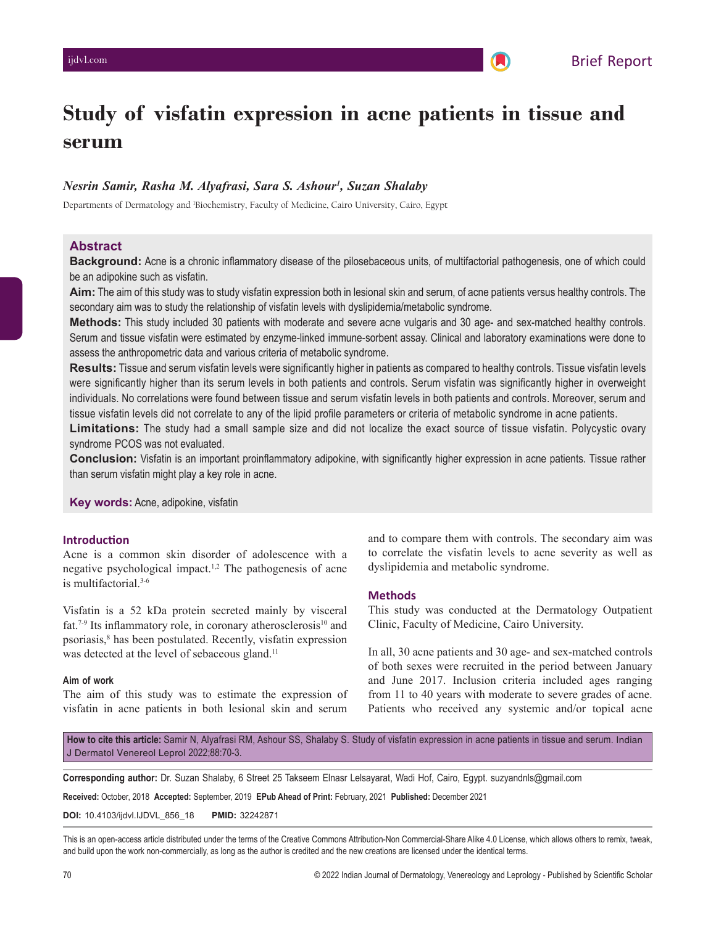# **Study of visfatin expression in acne patients in tissue and serum**

## *Nesrin Samir, Rasha M. Alyafrasi, Sara S. Ashour1 , Suzan Shalaby*

Departments of Dermatology and 1 Biochemistry, Faculty of Medicine, Cairo University, Cairo, Egypt

#### **Abstract**

**Background:** Acne is a chronic inflammatory disease of the pilosebaceous units, of multifactorial pathogenesis, one of which could be an adipokine such as visfatin.

**Aim:** The aim of this study was to study visfatin expression both in lesional skin and serum, of acne patients versus healthy controls. The secondary aim was to study the relationship of visfatin levels with dyslipidemia/metabolic syndrome.

**Methods:** This study included 30 patients with moderate and severe acne vulgaris and 30 age- and sex-matched healthy controls. Serum and tissue visfatin were estimated by enzyme-linked immune-sorbent assay. Clinical and laboratory examinations were done to assess the anthropometric data and various criteria of metabolic syndrome.

**Results:** Tissue and serum visfatin levels were significantly higher in patients as compared to healthy controls. Tissue visfatin levels were significantly higher than its serum levels in both patients and controls. Serum visfatin was significantly higher in overweight individuals. No correlations were found between tissue and serum visfatin levels in both patients and controls. Moreover, serum and tissue visfatin levels did not correlate to any of the lipid profile parameters or criteria of metabolic syndrome in acne patients.

**Limitations:** The study had a small sample size and did not localize the exact source of tissue visfatin. Polycystic ovary syndrome  PCOS was not evaluated.

**Conclusion:** Visfatin is an important proinflammatory adipokine, with significantly higher expression in acne patients. Tissue rather than serum visfatin might play a key role in acne.

**Key words:** Acne, adipokine, visfatin

#### **Introduction**

Acne is a common skin disorder of adolescence with a negative psychological impact.1,2 The pathogenesis of acne is multifactorial.3-6

Visfatin is a 52 kDa protein secreted mainly by visceral fat.<sup>7-9</sup> Its inflammatory role, in coronary atherosclerosis<sup>10</sup> and psoriasis,<sup>8</sup> has been postulated. Recently, visfatin expression was detected at the level of sebaceous gland.<sup>11</sup>

#### **Aim of work**

The aim of this study was to estimate the expression of visfatin in acne patients in both lesional skin and serum

and to compare them with controls. The secondary aim was to correlate the visfatin levels to acne severity as well as dyslipidemia and metabolic syndrome.

## **Methods**

This study was conducted at the Dermatology Outpatient Clinic, Faculty of Medicine, Cairo University.

In all, 30 acne patients and 30 age- and sex-matched controls of both sexes were recruited in the period between January and June 2017. Inclusion criteria included ages ranging from 11 to 40 years with moderate to severe grades of acne. Patients who received any systemic and/or topical acne

**How to cite this article:** Samir N, Alyafrasi RM, Ashour SS, Shalaby S. Study of visfatin expression in acne patients in tissue and serum. Indian J Dermatol Venereol Leprol 2022;88:70-3.

**Corresponding author:** Dr. Suzan Shalaby, 6 Street 25 Takseem Elnasr Lelsayarat, Wadi Hof, Cairo, Egypt. suzyandnls@gmail.com

**Received:** October, 2018 **Accepted:** September, 2019 **EPub Ahead of Print:** February, 2021 **Published:** December 2021

**DOI:** 10.4103/ijdvl.IJDVL\_856\_18 **PMID:** 32242871

This is an open-access article distributed under the terms of the Creative Commons Attribution-Non Commercial-Share Alike 4.0 License, which allows others to remix, tweak, and build upon the work non-commercially, as long as the author is credited and the new creations are licensed under the identical terms.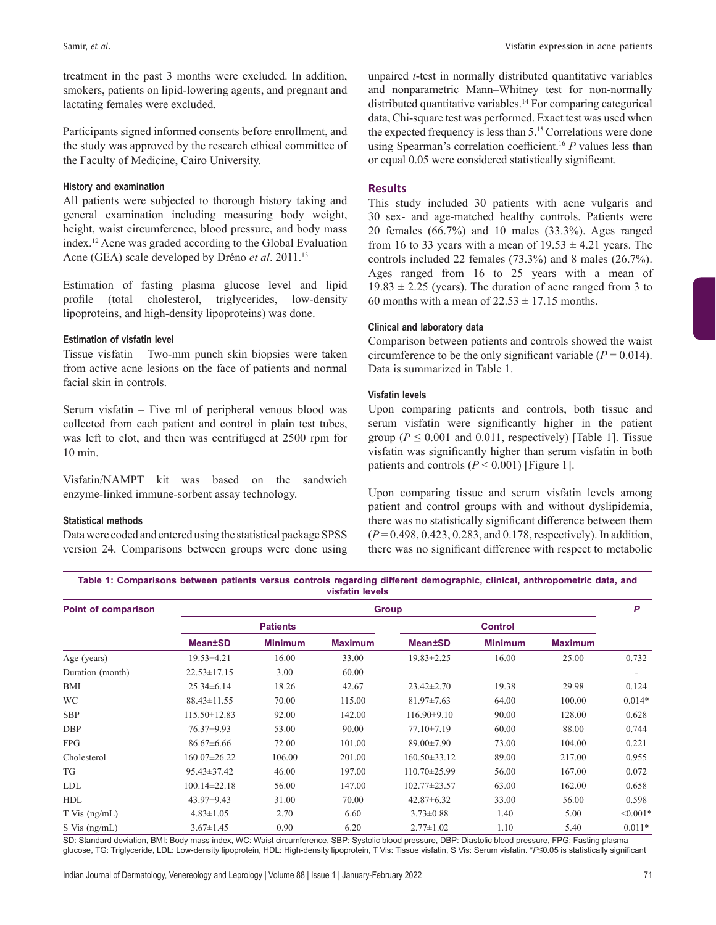treatment in the past 3 months were excluded. In addition, smokers, patients on lipid-lowering agents, and pregnant and lactating females were excluded.

Participants signed informed consents before enrollment, and the study was approved by the research ethical committee of the Faculty of Medicine, Cairo University.

#### **History and examination**

All patients were subjected to thorough history taking and general examination including measuring body weight, height, waist circumference, blood pressure, and body mass index.12 Acne was graded according to the Global Evaluation Acne (GEA) scale developed by Dréno *et al*. 2011.13

Estimation of fasting plasma glucose level and lipid profile (total cholesterol, triglycerides, low‑density lipoproteins, and high-density lipoproteins) was done.

## **Estimation of visfatin level**

Tissue visfatin – Two‑mm punch skin biopsies were taken from active acne lesions on the face of patients and normal facial skin in controls.

Serum visfatin – Five ml of peripheral venous blood was collected from each patient and control in plain test tubes, was left to clot, and then was centrifuged at 2500 rpm for 10 min.

Visfatin/NAMPT kit was based on the sandwich enzyme-linked immune-sorbent assay technology.

#### **Statistical methods**

Data were coded and entered using the statistical package SPSS version 24. Comparisons between groups were done using unpaired *t*-test in normally distributed quantitative variables and nonparametric Mann–Whitney test for non-normally distributed quantitative variables.<sup>14</sup> For comparing categorical data, Chi-square test was performed. Exact test was used when the expected frequency is less than 5.15 Correlations were done using Spearman's correlation coefficient.16 *P* values less than or equal 0.05 were considered statistically significant.

## **Results**

This study included 30 patients with acne vulgaris and 30 sex‑ and age‑matched healthy controls. Patients were 20 females (66.7%) and 10 males (33.3%). Ages ranged from 16 to 33 years with a mean of  $19.53 \pm 4.21$  years. The controls included 22 females (73.3%) and 8 males (26.7%). Ages ranged from 16 to 25 years with a mean of  $19.83 \pm 2.25$  (years). The duration of acne ranged from 3 to 60 months with a mean of  $22.53 \pm 17.15$  months.

#### **Clinical and laboratory data**

Comparison between patients and controls showed the waist circumference to be the only significant variable  $(P = 0.014)$ . Data is summarized in Table 1.

#### **Visfatin levels**

Upon comparing patients and controls, both tissue and serum visfatin were significantly higher in the patient group ( $P \le 0.001$  and 0.011, respectively) [Table 1]. Tissue visfatin was significantly higher than serum visfatin in both patients and controls  $(P < 0.001)$  [Figure 1].

Upon comparing tissue and serum visfatin levels among patient and control groups with and without dyslipidemia, there was no statistically significant difference between them (*P* = 0.498, 0.423, 0.283, and 0.178, respectively). In addition, there was no significant difference with respect to metabolic

**Table 1: Comparisons between patients versus controls regarding different demographic, clinical, anthropometric data, and visfatin levels**

| Point of comparison | <b>Group</b>       |                |                |                    |                |                | P          |
|---------------------|--------------------|----------------|----------------|--------------------|----------------|----------------|------------|
|                     | <b>Patients</b>    |                |                | <b>Control</b>     |                |                |            |
|                     | <b>Mean±SD</b>     | <b>Minimum</b> | <b>Maximum</b> | <b>Mean±SD</b>     | <b>Minimum</b> | <b>Maximum</b> |            |
| Age (years)         | $19.53 \pm 4.21$   | 16.00          | 33.00          | $19.83 \pm 2.25$   | 16.00          | 25.00          | 0.732      |
| Duration (month)    | $22.53 \pm 17.15$  | 3.00           | 60.00          |                    |                |                |            |
| BMI                 | $25.34\pm 6.14$    | 18.26          | 42.67          | $23.42 \pm 2.70$   | 19.38          | 29.98          | 0.124      |
| <b>WC</b>           | $88.43 \pm 11.55$  | 70.00          | 115.00         | $81.97 \pm 7.63$   | 64.00          | 100.00         | $0.014*$   |
| <b>SBP</b>          | $115.50 \pm 12.83$ | 92.00          | 142.00         | $116.90\pm9.10$    | 90.00          | 128.00         | 0.628      |
| <b>DBP</b>          | 76.37±9.93         | 53.00          | 90.00          | $77.10 \pm 7.19$   | 60.00          | 88.00          | 0.744      |
| <b>FPG</b>          | $86.67\pm 6.66$    | 72.00          | 101.00         | 89.00±7.90         | 73.00          | 104.00         | 0.221      |
| Cholesterol         | $160.07 \pm 26.22$ | 106.00         | 201.00         | $160.50 \pm 33.12$ | 89.00          | 217.00         | 0.955      |
| TG                  | $95.43 \pm 37.42$  | 46.00          | 197.00         | $110.70 \pm 25.99$ | 56.00          | 167.00         | 0.072      |
| LDL                 | $100.14 \pm 22.18$ | 56.00          | 147.00         | $102.77 \pm 23.57$ | 63.00          | 162.00         | 0.658      |
| HDL                 | 43.97±9.43         | 31.00          | 70.00          | $42.87\pm 6.32$    | 33.00          | 56.00          | 0.598      |
| $T$ Vis $(ng/mL)$   | $4.83 \pm 1.05$    | 2.70           | 6.60           | $3.73 \pm 0.88$    | 1.40           | 5.00           | $< 0.001*$ |
| $S$ Vis $(ng/mL)$   | $3.67 \pm 1.45$    | 0.90           | 6.20           | $2.77 \pm 1.02$    | 1.10           | 5.40           | $0.011*$   |

SD: Standard deviation, BMI: Body mass index, WC: Waist circumference, SBP: Systolic blood pressure, DBP: Diastolic blood pressure, FPG: Fasting plasma glucose, TG: Triglyceride, LDL: Low‑density lipoprotein, HDL: High‑density lipoprotein, T Vis: Tissue visfatin, S Vis: Serum visfatin. \**P*≤0.05 is statistically significant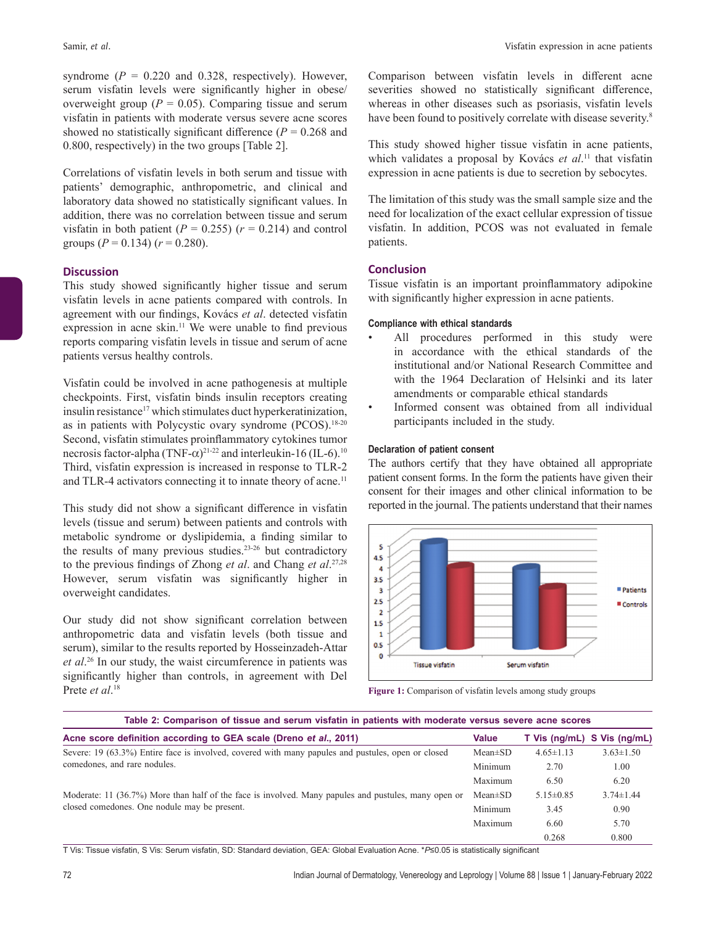syndrome  $(P = 0.220$  and 0.328, respectively). However, serum visfatin levels were significantly higher in obese/ overweight group ( $P = 0.05$ ). Comparing tissue and serum visfatin in patients with moderate versus severe acne scores showed no statistically significant difference  $(P = 0.268$  and 0.800, respectively) in the two groups [Table 2].

Correlations of visfatin levels in both serum and tissue with patients' demographic, anthropometric, and clinical and laboratory data showed no statistically significant values. In addition, there was no correlation between tissue and serum visfatin in both patient  $(P = 0.255)$   $(r = 0.214)$  and control groups  $(P = 0.134)$   $(r = 0.280)$ .

## **Discussion**

This study showed significantly higher tissue and serum visfatin levels in acne patients compared with controls. In agreement with our findings, Kovács *et al*. detected visfatin expression in acne skin.11 We were unable to find previous reports comparing visfatin levels in tissue and serum of acne patients versus healthy controls.

Visfatin could be involved in acne pathogenesis at multiple checkpoints. First, visfatin binds insulin receptors creating insulin resistance<sup>17</sup> which stimulates duct hyperkeratinization, as in patients with Polycystic ovary syndrome (PCOS).<sup>18-20</sup> Second, visfatin stimulates proinflammatory cytokines tumor necrosis factor-alpha (TNF- $\alpha$ )<sup>21-22</sup> and interleukin-16 (IL-6).<sup>10</sup> Third, visfatin expression is increased in response to TLR‑2 and TLR-4 activators connecting it to innate theory of acne.<sup>11</sup>

This study did not show a significant difference in visfatin levels (tissue and serum) between patients and controls with metabolic syndrome or dyslipidemia, a finding similar to the results of many previous studies.<sup>23-26</sup> but contradictory to the previous findings of Zhong *et al*. and Chang *et al*. 27,28 However, serum visfatin was significantly higher in overweight candidates.

Our study did not show significant correlation between anthropometric data and visfatin levels (both tissue and serum), similar to the results reported by Hosseinzadeh-Attar *et al*. 26 In our study, the waist circumference in patients was significantly higher than controls, in agreement with Del Prete *et al*. 18

Comparison between visfatin levels in different acne severities showed no statistically significant difference, whereas in other diseases such as psoriasis, visfatin levels have been found to positively correlate with disease severity.<sup>8</sup>

This study showed higher tissue visfatin in acne patients, which validates a proposal by Kovács *et al*. 11 that visfatin expression in acne patients is due to secretion by sebocytes.

The limitation of this study was the small sample size and the need for localization of the exact cellular expression of tissue visfatin. In addition, PCOS was not evaluated in female patients.

# **Conclusion**

Tissue visfatin is an important proinflammatory adipokine with significantly higher expression in acne patients.

## **Compliance with ethical standards**

- All procedures performed in this study were in accordance with the ethical standards of the institutional and/or National Research Committee and with the 1964 Declaration of Helsinki and its later amendments or comparable ethical standards
- Informed consent was obtained from all individual participants included in the study.

## **Declaration of patient consent**

The authors certify that they have obtained all appropriate patient consent forms. In the form the patients have given their consent for their images and other clinical information to be reported in the journal. The patients understand that their names



**Figure 1:** Comparison of visfatin levels among study groups

| Table 2: Comparison of tissue and serum visfatin in patients with moderate versus severe acne scores |               |                 |                 |  |  |  |  |  |
|------------------------------------------------------------------------------------------------------|---------------|-----------------|-----------------|--|--|--|--|--|
| Acne score definition according to GEA scale (Dreno et al., 2011)                                    | <b>Value</b>  | T Vis (ng/mL)   | S Vis (ng/mL)   |  |  |  |  |  |
| Severe: 19 (63.3%) Entire face is involved, covered with many papules and pustules, open or closed   | $Mean \pm SD$ | $4.65 \pm 1.13$ | $3.63 \pm 1.50$ |  |  |  |  |  |
| comedones, and rare nodules.                                                                         | Minimum       | 2.70            | 1.00            |  |  |  |  |  |
|                                                                                                      |               | 6.50            | 6.20            |  |  |  |  |  |
| Moderate: 11 (36.7%) More than half of the face is involved. Many papules and pustules, many open or | $Mean \pm SD$ | $5.15 \pm 0.85$ | $3.74 \pm 1.44$ |  |  |  |  |  |
| closed comedones. One nodule may be present.                                                         | Minimum       | 3.45            | 0.90            |  |  |  |  |  |
|                                                                                                      | Maximum       | 6.60            | 5.70            |  |  |  |  |  |
|                                                                                                      |               | 0.268           | 0.800           |  |  |  |  |  |

T Vis: Tissue visfatin, S Vis: Serum visfatin, SD: Standard deviation, GEA: Global Evaluation Acne. \**P*≤0.05 is statistically significant